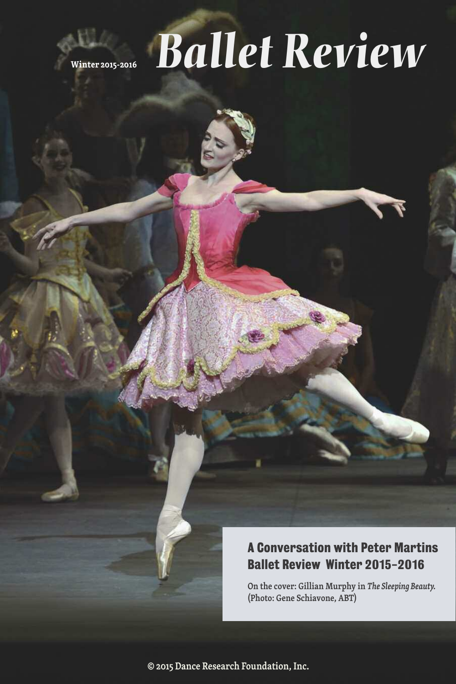

# **Winter 2015-2016** *Ballet [Review](http://www.balletreview.com)*

### **A Conversation with Peter Martins Ballet Review Winter 2015-2016**

**On the cover: Gillian Murphy in** *The Sleeping Beauty.* **(Photo: Gene Schiavone, ABT)**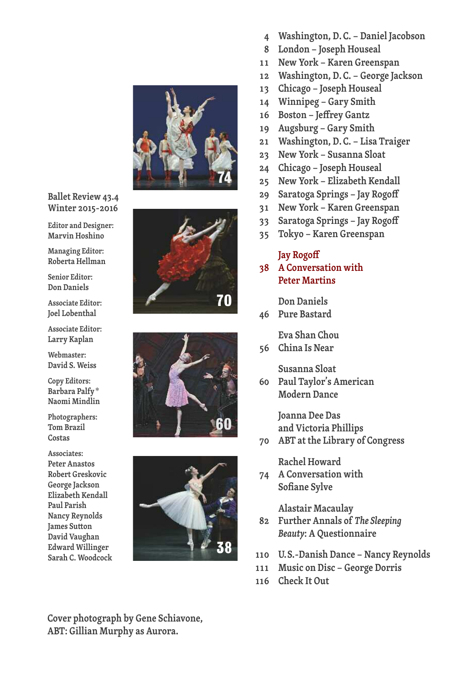

#### **Ballet Review 43.4 Winter [2015-2016](http://www.balletreview.com)**

**Editor and Designer: Marvin Hoshino**

**Managing Editor: Roberta Hellman**

**Senior Editor: Don Daniels**

**Associate Editor: Joel Lobenthal**

**Associate Editor: Larry Kaplan**

**Webmaster: David S. Weiss**

**Copy Editors: Barbara Palfy\* Naomi Mindlin**

**Photographers: Tom Brazil Costas**

**Associates: Peter Anastos Robert Greskovic George Jackson Elizabeth Kendall Paul Parish Nancy Reynolds James** Sutton **David Vaughan Edward Willinger Sarah C. Woodcock**







**Cover photograph by Gene Schiavone, ABT: Gillian Murphy as Aurora.**

- **4 Washington, D. C. – Daniel Jacobson**
- **8 London – Joseph Houseal**
- **11 New York – Karen Greenspan**
- **12 Washington, D. C. – George Jackson**
- **13 Chicago – Joseph Houseal**
- **14 Winnipeg – Gary Smith**
- **16 Boston – Jeffrey Gantz**
- **19 Augsburg – Gary Smith**
- **21 Washington, D. C. – Lisa Traiger**
- **23 New York – Susanna Sloat**
- **24 Chicago – Joseph Houseal**
- **25 New York – Elizabeth Kendall**
- **29 Saratoga Springs – Jay Rogoff**
- **31 New York – Karen Greenspan**
- **33 Saratoga Springs – Jay Rogoff**
- **35 Tokyo – Karen Greenspan**

#### **Jay Rogoff**

**38 A Conversation with Peter Martins**

**Don Daniels**

**46 Pure Bastard**

**Eva Shan Chou**

**56 China Is Near**

**Susanna Sloat**

**60 Paul Taylor's American Modern Dance**

> **Joanna Dee Das and Victoria Phillips**

**70 ABT at the Library of Congress**

**Rachel Howard**

**74 A Conversation with Sofiane Sylve**

**Alastair Macaulay**

- **82 Further Annals of** *The Sleeping Beauty***: A Questionnaire**
- **110 U.S.-Danish Dance – Nancy Reynolds**
- **111 Music on Disc – George Dorris**
- **116 Check It Out**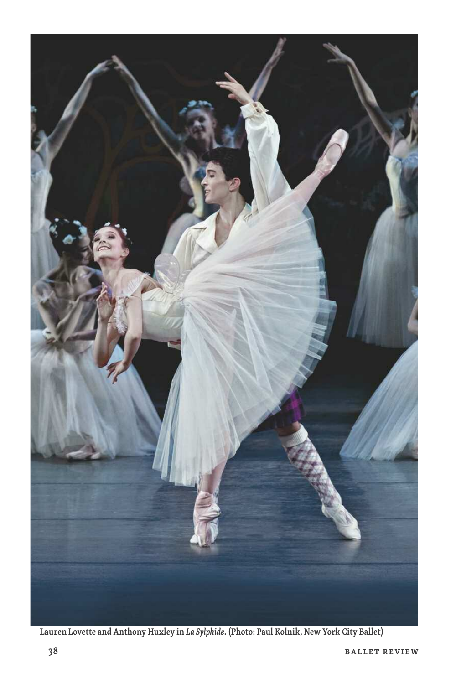

**Lauren Lovette and Anthony Huxley in** *La Sylphide***. (Photo: Paul Kolnik, New York City Ballet)**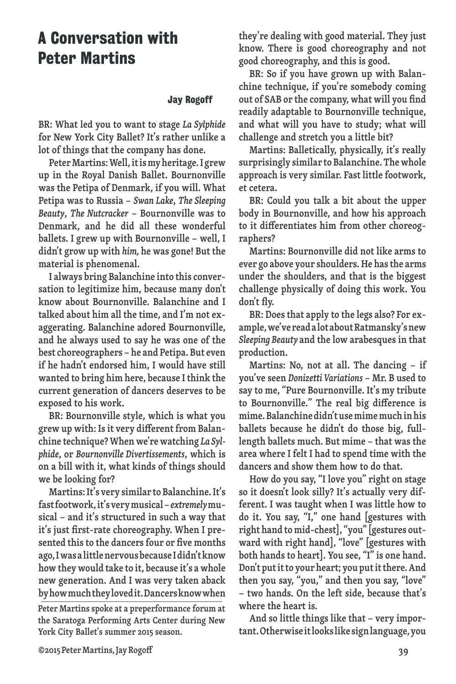## **A Conversation with Peter Martins**

#### **Jay Rogoff**

**BR: What led you to want to stage** *La Sylphide* **for New York City Ballet? It's rather unlike a lot of things that the company has done.**

**PeterMartins:Well,itismyheritage.I grew up in the Royal Danish Ballet. Bournonville was the Petipa of Denmark, if you will. What Petipa was to Russia –** *Swan Lake***,** *The Sleeping Beauty***,** *The Nutcracker* **– Bournonville was to Denmark, and he did all these wonderful ballets. I grew up with Bournonville – well, I didn't grow up with** *him,* **he was gone! But the material is phenomenal.**

**I always bring Balanchine into this conversation to legitimize him, because many don't know about Bournonville. Balanchine and I talked about him all the time, and I'm not exaggerating. Balanchine adored Bournonville, and he always used to say he was one of the best choreographers – he and Petipa. But even if he hadn't endorsed him, I would have still wanted to bring him here, because I think the current generation of dancers deserves to be exposed to his work.**

**BR: Bournonville style, which is what you grew up with: Isit very different from Balanchine technique? When we're watching** *La Sylphide***, or** *Bournonville Divertissements***, which is on a bill with it, what kinds of things should we be looking for?**

**Martins:It's very similar to Balanchine.It's fastfootwork,it'sverymusical–***extremely***musical – and it's structured in such a way that it's just first-rate choreography. When I presented thisto the dancersfour or five months ago,IwasalittlenervousbecauseIdidn'tknow how they would take to it, because it's a whole new generation. And I was very taken aback byhowmuchtheylovedit.Dancersknowwhen**

**Peter Martins spoke at a preperformance forum at the Saratoga Performing Arts Center during New York City Ballet's summer 2015 season.**

**they're dealing with good material. They just know. There is good choreography and not good choreography, and this is good.**

**BR: So if you have grown up with Balanchine technique, if you're somebody coming out of SAB or the company, what will you find readily adaptable to Bournonville technique, and what will you have to study; what will challenge and stretch you a little bit?**

**Martins: Balletically, physically, it's really surprisingly similar to Balanchine. Thewhole approach is very similar. Fast little footwork, et cetera.**

**BR: Could you talk a bit about the upper body in Bournonville, and how his approach to it differentiates him from other choreographers?**

**Martins: Bournonville did not like arms to ever go above your shoulders.He hasthe arms under the shoulders, and that is the biggest challenge physically of doing this work. You don't fly.**

**BR: Doesthat apply to the legs also? For example,we'vereadalotaboutRatmansky'snew** *Sleeping Beauty* **and the low arabesques in that production.**

**Martins: No, not at all. The dancing – if you've seen** *Donizetti Variations* **– Mr. B used to say to me, "Pure Bournonville. It's my tribute to Bournonville." The real big difference is mime.Balanchinedidn'tusemimemuchinhis ballets because he didn't do those big, fulllength ballets much. But mime – that was the area where I felt I had to spend time with the dancers and show them how to do that.**

**How do you say, "I love you" right on stage so it doesn't look silly? It's actually very different. I was taught when I was little how to do it. You say, "I," one hand [gestures with right hand tomid-chest],"you"[gestures outward with right hand], "love" [gestures with both hands to heart]. You see, "I" is one hand. Don't putitto your heart; you putitthere.And then you say, "you," and then you say, "love" – two hands. On the left side, because that's where the heart is.**

**And so little things like that – very important.Otherwiseitlookslikesignlanguage,you**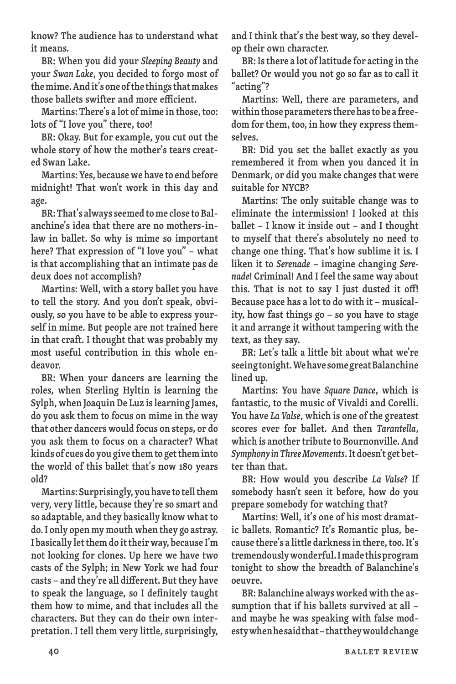**know? The audience has to understand what it means.**

**BR: When you did your** *Sleeping Beauty* **and your** *Swan Lake***, you decided to forgo most of themime.Andit's one ofthe thingsthatmakes those ballets swifter and more efficient.**

**Martins: There's a lot of mime in those,too: lots of "I love you" there, too!**

**BR: Okay. But for example, you cut out the whole story of how the mother's tears created Swan Lake.**

**Martins:Yes, becausewe have to end before midnight! That won't work in this day and age.**

**BR:That's alwaysseemed tome close toBalanchine's idea that there are no mothers-inlaw in ballet. So why is mime so important here? That expression of "I love you" – what is that accomplishing that an intimate pas de deux does not accomplish?**

**Martins: Well, with a story ballet you have to tell the story. And you don't speak, obviously, so you have to be able to express yourself in mime. But people are not trained here in that craft. I thought that was probably my most useful contribution in this whole endeavor.**

**BR: When your dancers are learning the roles, when Sterling Hyltin is learning the Sylph, when Joaquin De Luz islearning James, do you ask them to focus on mime in the way that other dancers would focus on steps, or do you ask them to focus on a character? What kinds of cues do you give themto gettheminto the world of this ballet that's now 10 years old?**

**Martins: Surprisingly, youhave to tellthem very, very little, because they're so smart and so adaptable, and they basically know whatto do.I only openmymouth when they go astray. I basically letthemdo ittheirway, because I'm not looking for clones. Up here we have two casts of the Sylph; in New York we had four casts – and they're all different. But they have to speak the language, so I definitely taught them how to mime, and that includes all the characters. But they can do their own interpretation. I tell them very little, surprisingly,** **and I think that's the best way, so they develop their own character.**

**BR:Isthere a lot oflatitude for acting in the ballet? Or would you not go so far as to call it "acting"?**

**Martins: Well, there are parameters, and withinthoseparameterstherehastobeafreedom for them, too, in how they expressthemselves.**

**BR: Did you set the ballet exactly as you remembered it from when you danced it in Denmark, or did you make changes that were suitable for NYCB?**

**Martins: The only suitable change was to eliminate the intermission! I looked at this ballet – I know it inside out – and I thought to myself that there's absolutely no need to change one thing. That's how sublime it is. I liken it to** *Serenade* **– imagine changing** *Serenade***! Criminal! And I feel the same way about this. That is not to say I just dusted it off! Because pace has a lot to do with it – musicality, how fast things go – so you have to stage it and arrange it without tampering with the text, as they say.**

**BR: Let's talk a little bit about what we're seeingtonight.WehavesomegreatBalanchine lined up.**

**Martins: You have** *Square Dance***, which is fantastic, to the music of Vivaldi and Corelli. You have** *La Valse***, which is one of the greatest scores ever for ballet. And then** *Tarantella***, which is another tribute to Bournonville. And** *Symphony inThreeMovements***.It doesn't get better than that.**

**BR: How would you describe** *La Valse***? If somebody hasn't seen it before, how do you prepare somebody for watching that?**

**Martins: Well, it's one of his most dramatic ballets. Romantic? It's Romantic plus, because there's a little darknessin there,too.It's tremendouslywonderful.Imadethisprogram tonight to show the breadth of Balanchine's oeuvre.**

**BR: Balanchine always worked with the assumption that if his ballets survived at all – and maybe he was speaking with false modestywhenhesaidthat–thattheywouldchange**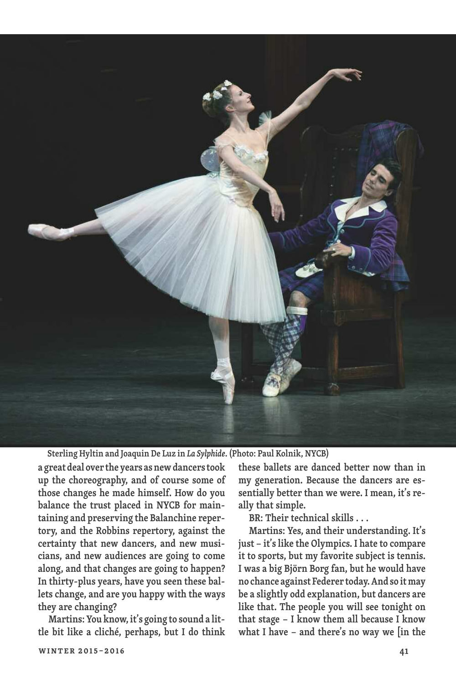

**Sterling Hyltin and Joaquin De Luz in** *La Sylphide***. (Photo: Paul Kolnik, NYCB)**

**a great deal over the years asnewdancerstook up the choreography, and of course some of those changes he made himself. How do you balance the trust placed in NYCB for maintaining and preserving the Balanchine repertory, and the Robbins repertory, against the certainty that new dancers, and new musicians, and new audiences are going to come along, and that changes are going to happen? In thirty-plus years, have you seen these ballets change, and are you happy with the ways they are changing?**

**Martins: You know, it's going to sound a little bit like a cliché, perhaps, but I do think**

**winter 2015–2016 41**

**these ballets are danced better now than in my generation. Because the dancers are essentially better than we were. I mean, it's really that simple.**

**BR: Their technical skills . . .**

**Martins: Yes, and their understanding. It's just – it'slike the Olympics. I hate to compare it to sports, but my favorite subject is tennis. I was a big Björn Borg fan, but he would have no chance against Federer today.And so itmay be a slightly odd explanation, but dancers are like that. The people you will see tonight on that stage – I know them all because I know what I have – and there's no way we [in the**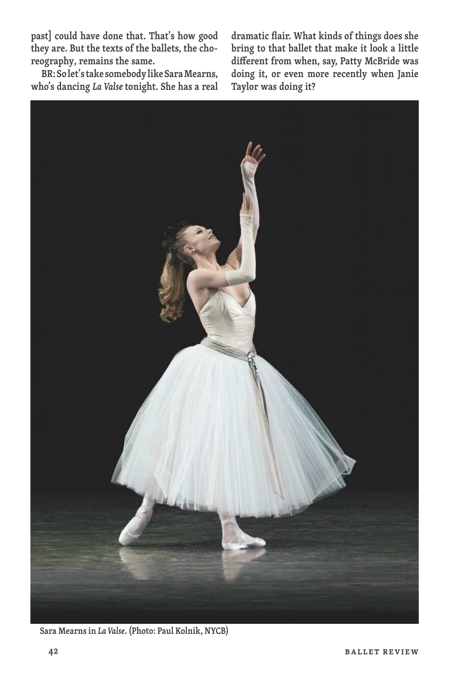**past] could have done that. That's how good they are. But the texts of the ballets, the choreography, remains the same.**

**BR:Solet'stake somebodylikeSaraMearns, who's dancing** *La Valse* **tonight. She has a real** **dramatic flair. What kinds of things does she bring to that ballet that make it look a little different from when, say, Patty McBride was doing it, or even more recently when Janie Taylor was doing it?**



**Sara Mearnsin** *La Valse***. (Photo: Paul Kolnik, NYCB)**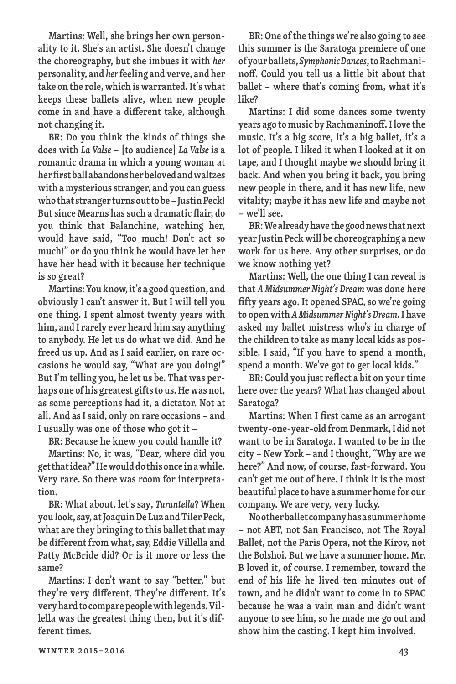**Martins: Well, she brings her own personality to it. She's an artist. She doesn't change the choreography, but she imbues it with** *her* **personality, and** *her***feeling and verve, and her take on the role, which is warranted.It's what keeps these ballets alive, when new people come in and have a different take, although not changing it.**

**BR: Do you think the kinds of things she does with** *La Valse* **– [to audience]** *La Valse* **is a romantic drama in which a young woman at herfirstballabandonsherbelovedandwaltzes with amysteriousstranger, and you can guess whothatstranger turnsouttobe–JustinPeck! Butsince Mearns hassuch a dramatic flair, do you think that Balanchine, watching her, would have said, "Too much! Don't act so much!" or do you think he would have let her have her head with it because her technique is so great?**

**Martins:Youknow,it's a goodquestion, and obviously I can't answer it. But I will tell you one thing. I spent almost twenty years with him, and I rarely ever heard him say anything to anybody. He let us do what we did. And he freed us up. And as I said earlier, on rare occasions he would say, "What are you doing!" But I'm telling you, he let us be. That was perhaps one of his greatest giftsto us.Hewas not, as some perceptions had it, a dictator. Not at all. And asIsaid, only on rare occasions – and I usually was one of those who got it –**

**BR: Because he knew you could handle it?**

**Martins: No, it was, "Dear, where did you getthatidea?"Hewoulddothisonceinawhile. Very rare. So there was room for interpretation.**

**BR: What about, let's say,** *Tarantella***? When you look,say, atJoaquinDe Luz and Tiler Peck, what are they bringing to this ballet that may be different from what,say, Eddie Villella and Patty McBride did? Or is it more or less the same?**

**Martins: I don't want to say "better," but they're very different. They're different. It's veryhardtocomparepeoplewithlegends.Villella was the greatest thing then, but it's different times.**

**BR: One ofthe things we're also going to see this summer is the Saratoga premiere of one ofyourballets,***SymphonicDances***,toRachmaninoff. Could you tell us a little bit about that ballet – where that's coming from, what it's like?**

**Martins: I did some dances some twenty years ago tomusic by Rachmaninoff.Ilove the music. It's a big score, it's a big ballet, it's a lot of people. I liked it when I looked at it on tape, and I thought maybe we should bring it back. And when you bring it back, you bring new people in there, and it has new life, new vitality; maybe it has new life and maybe not – we'll see.**

**BR:Wealreadyhavethegoodnewsthatnext year Justin Peck will be choreographing a new work for us here. Any other surprises, or do we know nothing yet?**

**Martins: Well, the one thing I can reveal is that** *A Midsummer Night's Dream* **was done here fifty years ago. It opened SPAC,so we're going to open with** *AMidsummerNight's Dream.***I have asked my ballet mistress who's in charge of the children to take as many local kids as possible. I said, "If you have to spend a month, spend a month. We've got to get local kids."**

**BR: Could you just reflect a bit on your time here over the years? What has changed about Saratoga?**

**Martins: When I first came as an arrogant twenty-one-year-old fromDenmark,I didnot want to be in Saratoga. I wanted to be in the city – New York – and I thought,"Why are we here?" And now, of course, fast-forward. You can't get me out of here. I think it is the most beautiful place tohave a summerhome for our company. We are very, very lucky.**

**Nootherballetcompanyhasasummerhome – not ABT, not San Francisco, not The Royal Ballet, not the Paris Opera, not the Kirov, not the Bolshoi. But we have a summer home. Mr. B loved it, of course. I remember, toward the end of his life he lived ten minutes out of town, and he didn't want to come in to SPAC because he was a vain man and didn't want anyone to see him, so he made me go out and show him the casting. I kept him involved.**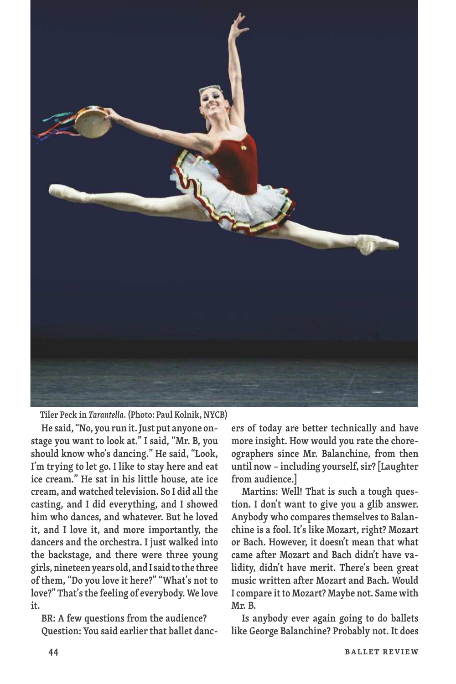

**Tiler Peck in** *Tarantella***. (Photo: Paul Kolnik, NYCB)**

**He said,"No, you run it.Just put anyone onstage you want to look at." I said, "Mr. B, you should know who's dancing." He said, "Look, I'm trying to let go. I like to stay here and eat ice cream." He sat in his little house, ate ice cream, and watched television. So I did all the casting, and I did everything, and I showed him who dances, and whatever. But he loved it, and I love it, and more importantly, the dancers and the orchestra. I just walked into the backstage, and there were three young girls,nineteenyears old, andIsaidto the three of them, "Do you love it here?" "What's not to love?" That'sthe feeling of everybody. We love it.**

**BR: A few questions from the audience? Question: You said earlier that ballet danc-** **ers of today are better technically and have more insight. How would you rate the choreographers since Mr. Balanchine, from then until now – including yourself,sir?[Laughter from audience.]**

**Martins: Well! That is such a tough question. I don't want to give you a glib answer. Anybody who compares themselves to Balanchine is a fool. It's like Mozart, right? Mozart or Bach. However, it doesn't mean that what came after Mozart and Bach didn't have validity, didn't have merit. There's been great music written after Mozart and Bach. Would I compare itto Mozart? Maybe not. Same with Mr. B.**

**Is anybody ever again going to do ballets like George Balanchine? Probably not. It does**